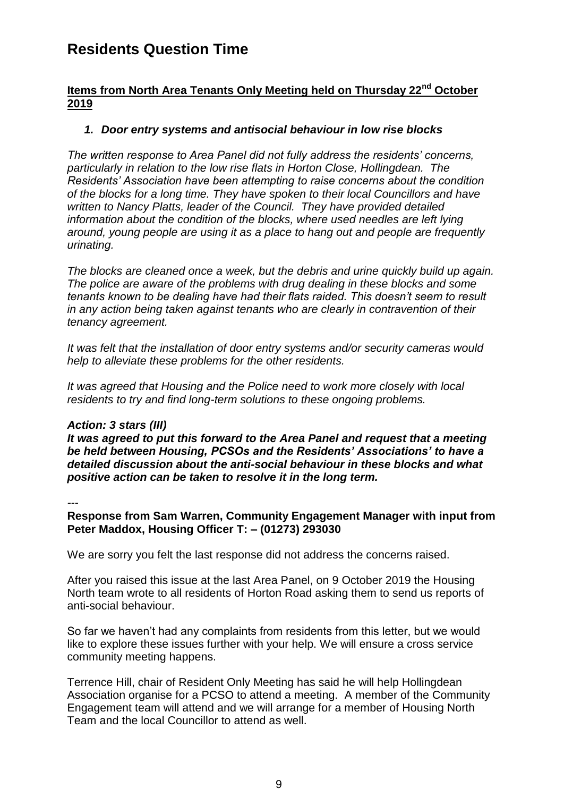## **Residents Question Time**

#### **Items from North Area Tenants Only Meeting held on Thursday 22nd October 2019**

#### *1. Door entry systems and antisocial behaviour in low rise blocks*

*The written response to Area Panel did not fully address the residents' concerns, particularly in relation to the low rise flats in Horton Close, Hollingdean. The Residents' Association have been attempting to raise concerns about the condition of the blocks for a long time. They have spoken to their local Councillors and have written to Nancy Platts, leader of the Council. They have provided detailed information about the condition of the blocks, where used needles are left lying around, young people are using it as a place to hang out and people are frequently urinating.* 

*The blocks are cleaned once a week, but the debris and urine quickly build up again. The police are aware of the problems with drug dealing in these blocks and some tenants known to be dealing have had their flats raided. This doesn't seem to result in any action being taken against tenants who are clearly in contravention of their tenancy agreement.* 

*It was felt that the installation of door entry systems and/or security cameras would help to alleviate these problems for the other residents.*

*It was agreed that Housing and the Police need to work more closely with local residents to try and find long-term solutions to these ongoing problems.*

#### *Action: 3 stars (III)*

*It was agreed to put this forward to the Area Panel and request that a meeting be held between Housing, PCSOs and the Residents' Associations' to have a detailed discussion about the anti-social behaviour in these blocks and what positive action can be taken to resolve it in the long term.*

*---*

**Response from Sam Warren, Community Engagement Manager with input from Peter Maddox, Housing Officer T: – (01273) 293030**

We are sorry you felt the last response did not address the concerns raised.

After you raised this issue at the last Area Panel, on 9 October 2019 the Housing North team wrote to all residents of Horton Road asking them to send us reports of anti-social behaviour.

So far we haven't had any complaints from residents from this letter, but we would like to explore these issues further with your help. We will ensure a cross service community meeting happens.

Terrence Hill, chair of Resident Only Meeting has said he will help Hollingdean Association organise for a PCSO to attend a meeting. A member of the Community Engagement team will attend and we will arrange for a member of Housing North Team and the local Councillor to attend as well.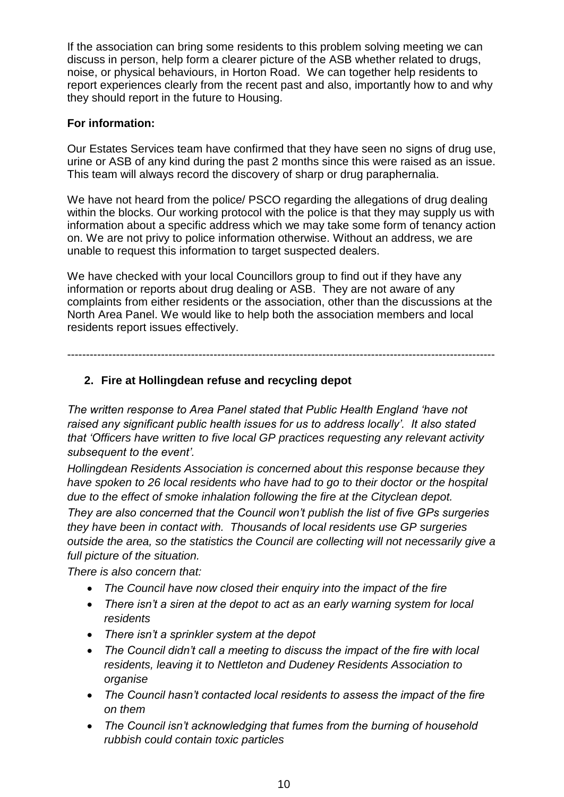If the association can bring some residents to this problem solving meeting we can discuss in person, help form a clearer picture of the ASB whether related to drugs, noise, or physical behaviours, in Horton Road. We can together help residents to report experiences clearly from the recent past and also, importantly how to and why they should report in the future to Housing.

#### **For information:**

Our Estates Services team have confirmed that they have seen no signs of drug use, urine or ASB of any kind during the past 2 months since this were raised as an issue. This team will always record the discovery of sharp or drug paraphernalia.

We have not heard from the police/ PSCO regarding the allegations of drug dealing within the blocks. Our working protocol with the police is that they may supply us with information about a specific address which we may take some form of tenancy action on. We are not privy to police information otherwise. Without an address, we are unable to request this information to target suspected dealers.

We have checked with your local Councillors group to find out if they have any information or reports about drug dealing or ASB. They are not aware of any complaints from either residents or the association, other than the discussions at the North Area Panel. We would like to help both the association members and local residents report issues effectively.

------------------------------------------------------------------------------------------------------------------

### **2. Fire at Hollingdean refuse and recycling depot**

*The written response to Area Panel stated that Public Health England 'have not raised any significant public health issues for us to address locally'. It also stated that 'Officers have written to five local GP practices requesting any relevant activity subsequent to the event'.*

*Hollingdean Residents Association is concerned about this response because they have spoken to 26 local residents who have had to go to their doctor or the hospital due to the effect of smoke inhalation following the fire at the Cityclean depot.*

*They are also concerned that the Council won't publish the list of five GPs surgeries they have been in contact with. Thousands of local residents use GP surgeries outside the area, so the statistics the Council are collecting will not necessarily give a full picture of the situation.*

*There is also concern that:*

- *The Council have now closed their enquiry into the impact of the fire*
- *There isn't a siren at the depot to act as an early warning system for local residents*
- *There isn't a sprinkler system at the depot*
- *The Council didn't call a meeting to discuss the impact of the fire with local residents, leaving it to Nettleton and Dudeney Residents Association to organise*
- *The Council hasn't contacted local residents to assess the impact of the fire on them*
- *The Council isn't acknowledging that fumes from the burning of household rubbish could contain toxic particles*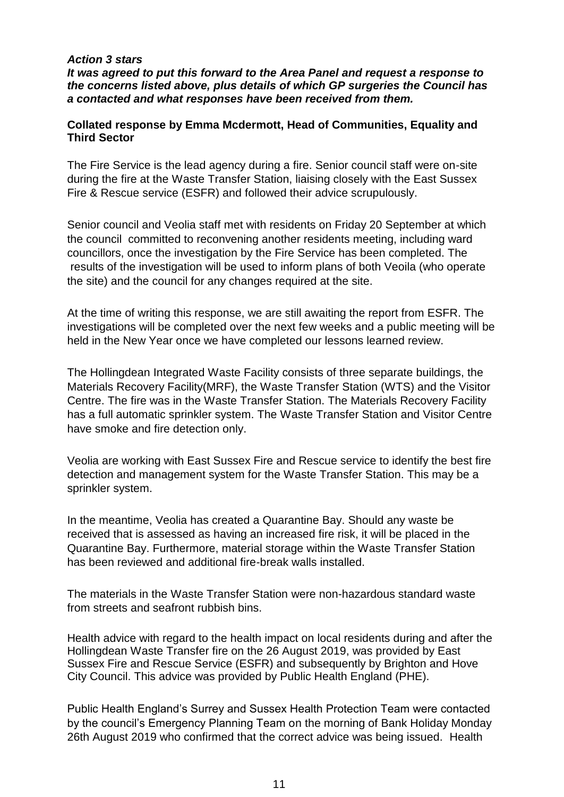#### *Action 3 stars*

*It was agreed to put this forward to the Area Panel and request a response to the concerns listed above, plus details of which GP surgeries the Council has a contacted and what responses have been received from them.*

#### **Collated response by Emma Mcdermott, Head of Communities, Equality and Third Sector**

The Fire Service is the lead agency during a fire. Senior council staff were on-site during the fire at the Waste Transfer Station, liaising closely with the East Sussex Fire & Rescue service (ESFR) and followed their advice scrupulously.

Senior council and Veolia staff met with residents on Friday 20 September at which the council committed to reconvening another residents meeting, including ward councillors, once the investigation by the Fire Service has been completed. The results of the investigation will be used to inform plans of both Veoila (who operate the site) and the council for any changes required at the site.

At the time of writing this response, we are still awaiting the report from ESFR. The investigations will be completed over the next few weeks and a public meeting will be held in the New Year once we have completed our lessons learned review.

The Hollingdean Integrated Waste Facility consists of three separate buildings, the Materials Recovery Facility(MRF), the Waste Transfer Station (WTS) and the Visitor Centre. The fire was in the Waste Transfer Station. The Materials Recovery Facility has a full automatic sprinkler system. The Waste Transfer Station and Visitor Centre have smoke and fire detection only.

Veolia are working with East Sussex Fire and Rescue service to identify the best fire detection and management system for the Waste Transfer Station. This may be a sprinkler system.

In the meantime, Veolia has created a Quarantine Bay. Should any waste be received that is assessed as having an increased fire risk, it will be placed in the Quarantine Bay. Furthermore, material storage within the Waste Transfer Station has been reviewed and additional fire-break walls installed.

The materials in the Waste Transfer Station were non-hazardous standard waste from streets and seafront rubbish bins.

Health advice with regard to the health impact on local residents during and after the Hollingdean Waste Transfer fire on the 26 August 2019, was provided by East Sussex Fire and Rescue Service (ESFR) and subsequently by Brighton and Hove City Council. This advice was provided by Public Health England (PHE).

Public Health England's Surrey and Sussex Health Protection Team were contacted by the council's Emergency Planning Team on the morning of Bank Holiday Monday 26th August 2019 who confirmed that the correct advice was being issued. Health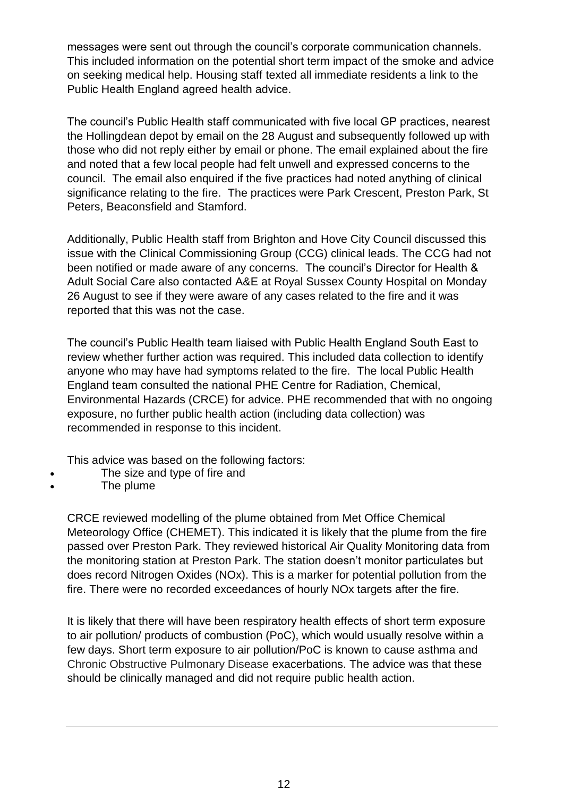messages were sent out through the council's corporate communication channels. This included information on the potential short term impact of the smoke and advice on seeking medical help. Housing staff texted all immediate residents a link to the Public Health England agreed health advice.

The council's Public Health staff communicated with five local GP practices, nearest the Hollingdean depot by email on the 28 August and subsequently followed up with those who did not reply either by email or phone. The email explained about the fire and noted that a few local people had felt unwell and expressed concerns to the council. The email also enquired if the five practices had noted anything of clinical significance relating to the fire. The practices were Park Crescent, Preston Park, St Peters, Beaconsfield and Stamford.

Additionally, Public Health staff from Brighton and Hove City Council discussed this issue with the Clinical Commissioning Group (CCG) clinical leads. The CCG had not been notified or made aware of any concerns. The council's Director for Health & Adult Social Care also contacted A&E at Royal Sussex County Hospital on Monday 26 August to see if they were aware of any cases related to the fire and it was reported that this was not the case.

The council's Public Health team liaised with Public Health England South East to review whether further action was required. This included data collection to identify anyone who may have had symptoms related to the fire. The local Public Health England team consulted the national PHE Centre for Radiation, Chemical, Environmental Hazards (CRCE) for advice. PHE recommended that with no ongoing exposure, no further public health action (including data collection) was recommended in response to this incident.

This advice was based on the following factors:

- The size and type of fire and
- The plume

CRCE reviewed modelling of the plume obtained from Met Office Chemical Meteorology Office (CHEMET). This indicated it is likely that the plume from the fire passed over Preston Park. They reviewed historical Air Quality Monitoring data from the monitoring station at Preston Park. The station doesn't monitor particulates but does record Nitrogen Oxides (NOx). This is a marker for potential pollution from the fire. There were no recorded exceedances of hourly NOx targets after the fire.

It is likely that there will have been respiratory health effects of short term exposure to air pollution/ products of combustion (PoC), which would usually resolve within a few days. Short term exposure to air pollution/PoC is known to cause asthma and Chronic Obstructive Pulmonary Disease exacerbations. The advice was that these should be clinically managed and did not require public health action.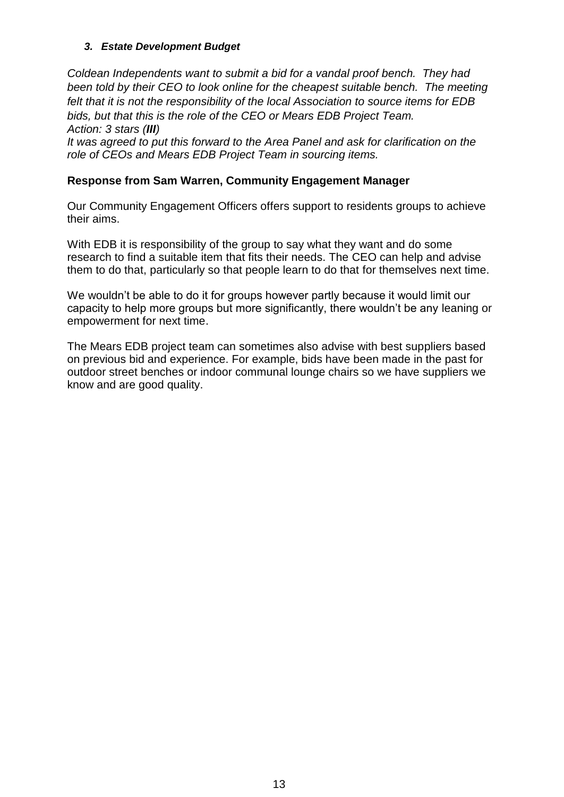#### *3. Estate Development Budget*

*Coldean Independents want to submit a bid for a vandal proof bench. They had*  been told by their CEO to look online for the cheapest suitable bench. The meeting *felt that it is not the responsibility of the local Association to source items for EDB bids, but that this is the role of the CEO or Mears EDB Project Team. Action: 3 stars (III) It was agreed to put this forward to the Area Panel and ask for clarification on the role of CEOs and Mears EDB Project Team in sourcing items.*

#### **Response from Sam Warren, Community Engagement Manager**

Our Community Engagement Officers offers support to residents groups to achieve their aims.

With EDB it is responsibility of the group to say what they want and do some research to find a suitable item that fits their needs. The CEO can help and advise them to do that, particularly so that people learn to do that for themselves next time.

We wouldn't be able to do it for groups however partly because it would limit our capacity to help more groups but more significantly, there wouldn't be any leaning or empowerment for next time.

The Mears EDB project team can sometimes also advise with best suppliers based on previous bid and experience. For example, bids have been made in the past for outdoor street benches or indoor communal lounge chairs so we have suppliers we know and are good quality.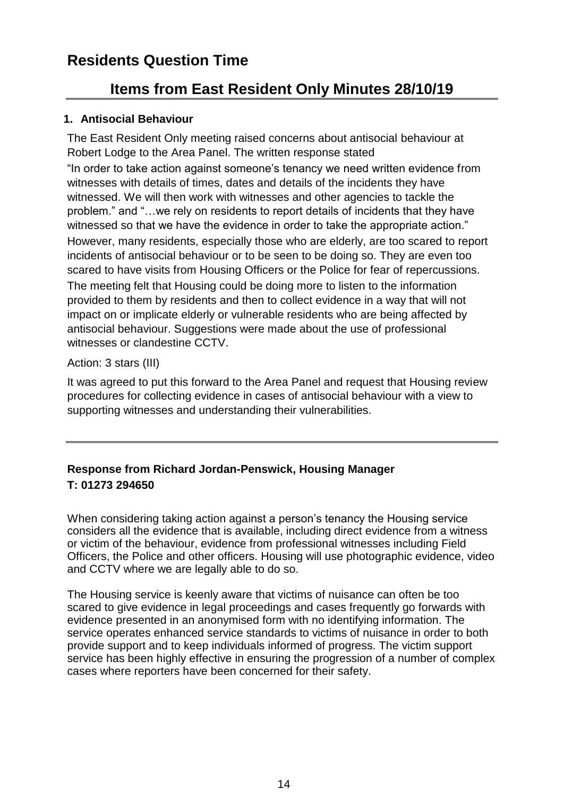# **Residents Question Time**

## **Items from East Resident Only Minutes 28/10/19**

#### **1. Antisocial Behaviour**

The East Resident Only meeting raised concerns about antisocial behaviour at Robert Lodge to the Area Panel. The written response stated

"In order to take action against someone's tenancy we need written evidence from witnesses with details of times, dates and details of the incidents they have witnessed. We will then work with witnesses and other agencies to tackle the problem." and "…we rely on residents to report details of incidents that they have witnessed so that we have the evidence in order to take the appropriate action." However, many residents, especially those who are elderly, are too scared to report incidents of antisocial behaviour or to be seen to be doing so. They are even too scared to have visits from Housing Officers or the Police for fear of repercussions. The meeting felt that Housing could be doing more to listen to the information provided to them by residents and then to collect evidence in a way that will not impact on or implicate elderly or vulnerable residents who are being affected by antisocial behaviour. Suggestions were made about the use of professional witnesses or clandestine CCTV.

#### Action: 3 stars (III)

It was agreed to put this forward to the Area Panel and request that Housing review procedures for collecting evidence in cases of antisocial behaviour with a view to supporting witnesses and understanding their vulnerabilities.

## **Response from Richard Jordan-Penswick, Housing Manager T: 01273 294650**

When considering taking action against a person's tenancy the Housing service considers all the evidence that is available, including direct evidence from a witness or victim of the behaviour, evidence from professional witnesses including Field Officers, the Police and other officers. Housing will use photographic evidence, video and CCTV where we are legally able to do so.

The Housing service is keenly aware that victims of nuisance can often be too scared to give evidence in legal proceedings and cases frequently go forwards with evidence presented in an anonymised form with no identifying information. The service operates enhanced service standards to victims of nuisance in order to both provide support and to keep individuals informed of progress. The victim support service has been highly effective in ensuring the progression of a number of complex cases where reporters have been concerned for their safety.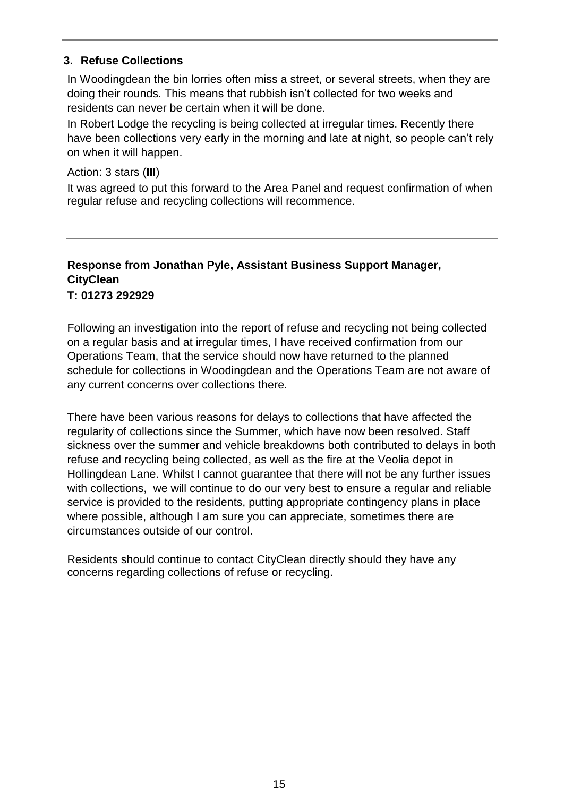#### **3. Refuse Collections**

In Woodingdean the bin lorries often miss a street, or several streets, when they are doing their rounds. This means that rubbish isn't collected for two weeks and residents can never be certain when it will be done.

In Robert Lodge the recycling is being collected at irregular times. Recently there have been collections very early in the morning and late at night, so people can't rely on when it will happen.

Action: 3 stars (**III**)

It was agreed to put this forward to the Area Panel and request confirmation of when regular refuse and recycling collections will recommence.

#### **Response from Jonathan Pyle, Assistant Business Support Manager, CityClean T: 01273 292929**

Following an investigation into the report of refuse and recycling not being collected on a regular basis and at irregular times, I have received confirmation from our Operations Team, that the service should now have returned to the planned schedule for collections in Woodingdean and the Operations Team are not aware of any current concerns over collections there.

There have been various reasons for delays to collections that have affected the regularity of collections since the Summer, which have now been resolved. Staff sickness over the summer and vehicle breakdowns both contributed to delays in both refuse and recycling being collected, as well as the fire at the Veolia depot in Hollingdean Lane. Whilst I cannot guarantee that there will not be any further issues with collections, we will continue to do our very best to ensure a regular and reliable service is provided to the residents, putting appropriate contingency plans in place where possible, although I am sure you can appreciate, sometimes there are circumstances outside of our control.

Residents should continue to contact CityClean directly should they have any concerns regarding collections of refuse or recycling.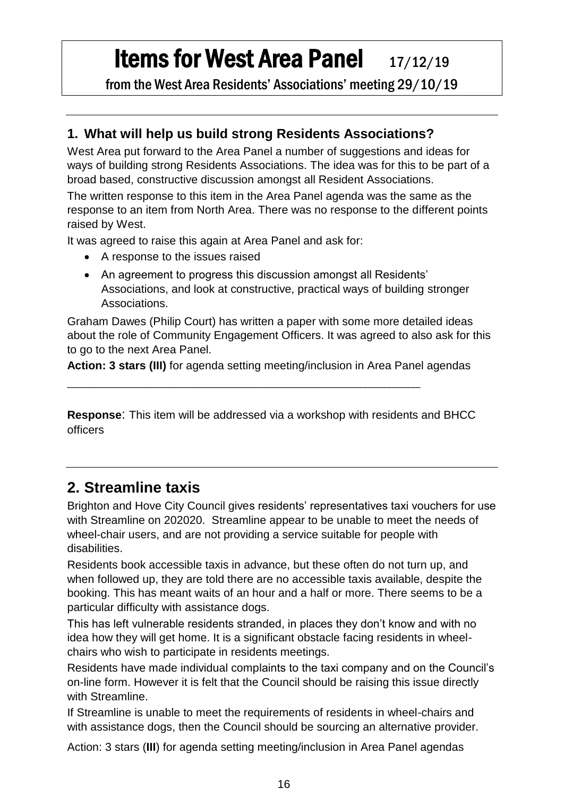# **Items for West Area Panel** 17/12/19

from the West Area Residents' Associations' meeting 29/10/19

## **1. What will help us build strong Residents Associations?**

West Area put forward to the Area Panel a number of suggestions and ideas for ways of building strong Residents Associations. The idea was for this to be part of a broad based, constructive discussion amongst all Resident Associations.

The written response to this item in the Area Panel agenda was the same as the response to an item from North Area. There was no response to the different points raised by West.

It was agreed to raise this again at Area Panel and ask for:

- A response to the issues raised
- An agreement to progress this discussion amongst all Residents' Associations, and look at constructive, practical ways of building stronger Associations.

Graham Dawes (Philip Court) has written a paper with some more detailed ideas about the role of Community Engagement Officers. It was agreed to also ask for this to go to the next Area Panel.

**Action: 3 stars (III)** for agenda setting meeting/inclusion in Area Panel agendas

\_\_\_\_\_\_\_\_\_\_\_\_\_\_\_\_\_\_\_\_\_\_\_\_\_\_\_\_\_\_\_\_\_\_\_\_\_\_\_\_\_\_\_\_\_\_\_\_\_\_\_\_\_\_\_\_\_\_\_\_\_\_\_\_\_\_\_\_\_\_\_\_\_\_

**Response**: This item will be addressed via a workshop with residents and BHCC officers

# **2. Streamline taxis**

Brighton and Hove City Council gives residents' representatives taxi vouchers for use with Streamline on 202020. Streamline appear to be unable to meet the needs of wheel-chair users, and are not providing a service suitable for people with disabilities.

Residents book accessible taxis in advance, but these often do not turn up, and when followed up, they are told there are no accessible taxis available, despite the booking. This has meant waits of an hour and a half or more. There seems to be a particular difficulty with assistance dogs.

This has left vulnerable residents stranded, in places they don't know and with no idea how they will get home. It is a significant obstacle facing residents in wheelchairs who wish to participate in residents meetings.

Residents have made individual complaints to the taxi company and on the Council's on-line form. However it is felt that the Council should be raising this issue directly with Streamline.

If Streamline is unable to meet the requirements of residents in wheel-chairs and with assistance dogs, then the Council should be sourcing an alternative provider.

Action: 3 stars (**III**) for agenda setting meeting/inclusion in Area Panel agendas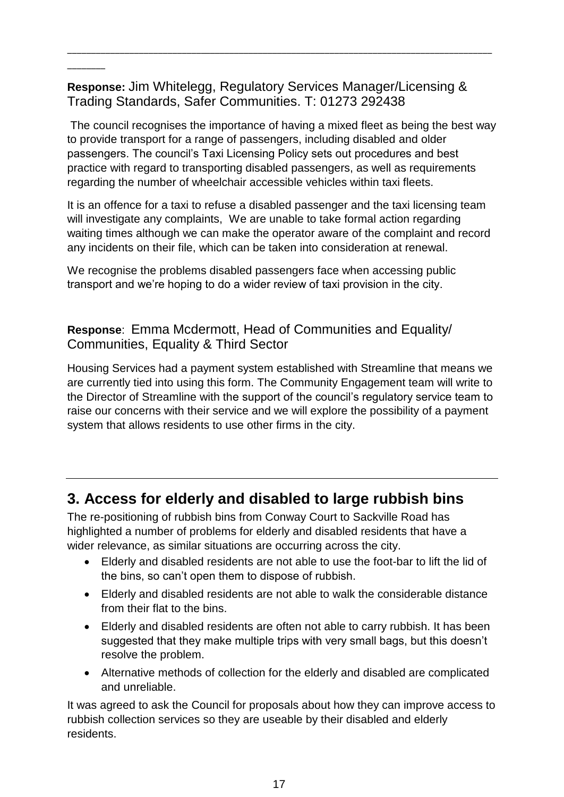**Response:** Jim Whitelegg, Regulatory Services Manager/Licensing & Trading Standards, Safer Communities. T: 01273 292438

 $\overline{\phantom{a}}$ 

\_\_\_\_\_\_\_\_\_\_\_\_\_\_\_\_\_\_\_\_\_\_\_\_\_\_\_\_\_\_\_\_\_\_\_\_\_\_\_\_\_\_\_\_\_\_\_\_\_\_\_\_\_\_\_\_\_\_\_\_\_\_\_\_\_\_\_\_\_\_\_\_\_\_\_\_\_\_\_\_\_\_\_\_\_\_\_\_\_

The council recognises the importance of having a mixed fleet as being the best way to provide transport for a range of passengers, including disabled and older passengers. The council's Taxi Licensing Policy sets out procedures and best practice with regard to transporting disabled passengers, as well as requirements regarding the number of wheelchair accessible vehicles within taxi fleets.

It is an offence for a taxi to refuse a disabled passenger and the taxi licensing team will investigate any complaints, We are unable to take formal action regarding waiting times although we can make the operator aware of the complaint and record any incidents on their file, which can be taken into consideration at renewal.

We recognise the problems disabled passengers face when accessing public transport and we're hoping to do a wider review of taxi provision in the city.

## **Response**: Emma Mcdermott, Head of Communities and Equality/ Communities, Equality & Third Sector

Housing Services had a payment system established with Streamline that means we are currently tied into using this form. The Community Engagement team will write to the Director of Streamline with the support of the council's regulatory service team to raise our concerns with their service and we will explore the possibility of a payment system that allows residents to use other firms in the city.

## **3. Access for elderly and disabled to large rubbish bins**

The re-positioning of rubbish bins from Conway Court to Sackville Road has highlighted a number of problems for elderly and disabled residents that have a wider relevance, as similar situations are occurring across the city.

- Elderly and disabled residents are not able to use the foot-bar to lift the lid of the bins, so can't open them to dispose of rubbish.
- Elderly and disabled residents are not able to walk the considerable distance from their flat to the bins.
- Elderly and disabled residents are often not able to carry rubbish. It has been suggested that they make multiple trips with very small bags, but this doesn't resolve the problem.
- Alternative methods of collection for the elderly and disabled are complicated and unreliable.

It was agreed to ask the Council for proposals about how they can improve access to rubbish collection services so they are useable by their disabled and elderly residents.